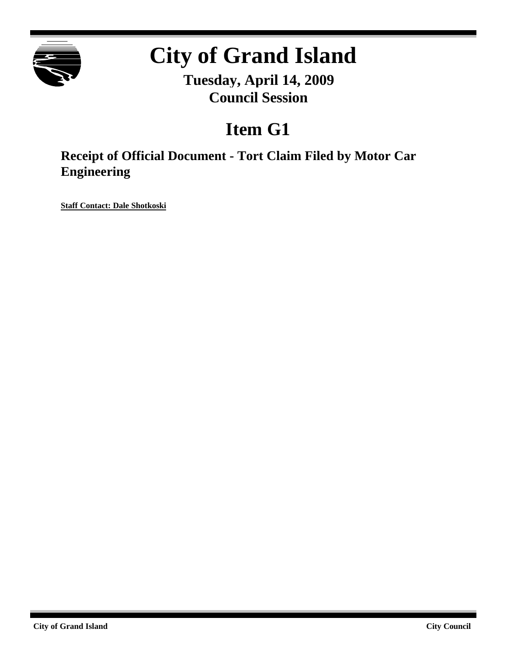

# **City of Grand Island**

**Tuesday, April 14, 2009 Council Session**

## **Item G1**

**Receipt of Official Document - Tort Claim Filed by Motor Car Engineering**

**Staff Contact: Dale Shotkoski**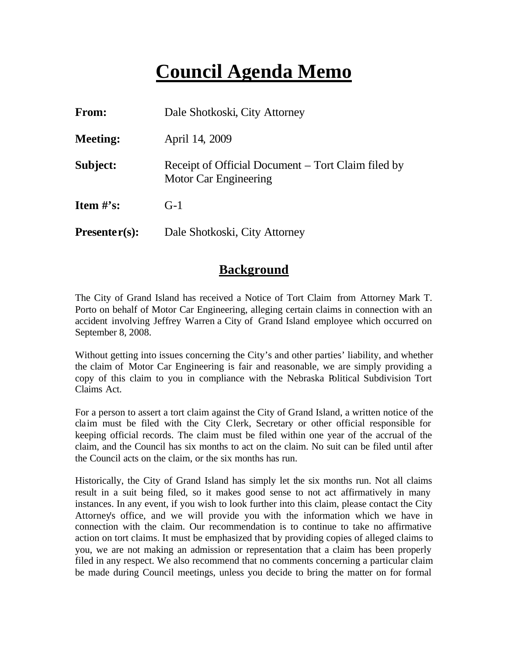### **Council Agenda Memo**

| From:           | Dale Shotkoski, City Attorney                                               |
|-----------------|-----------------------------------------------------------------------------|
| <b>Meeting:</b> | April 14, 2009                                                              |
| Subject:        | Receipt of Official Document – Tort Claim filed by<br>Motor Car Engineering |
| Item $\#$ 's:   | $G-1$                                                                       |
| $Presenter(s):$ | Dale Shotkoski, City Attorney                                               |

#### **Background**

The City of Grand Island has received a Notice of Tort Claim from Attorney Mark T. Porto on behalf of Motor Car Engineering, alleging certain claims in connection with an accident involving Jeffrey Warren a City of Grand Island employee which occurred on September 8, 2008.

Without getting into issues concerning the City's and other parties' liability, and whether the claim of Motor Car Engineering is fair and reasonable, we are simply providing a copy of this claim to you in compliance with the Nebraska Political Subdivision Tort Claims Act.

For a person to assert a tort claim against the City of Grand Island, a written notice of the claim must be filed with the City Clerk, Secretary or other official responsible for keeping official records. The claim must be filed within one year of the accrual of the claim, and the Council has six months to act on the claim. No suit can be filed until after the Council acts on the claim, or the six months has run.

Historically, the City of Grand Island has simply let the six months run. Not all claims result in a suit being filed, so it makes good sense to not act affirmatively in many instances. In any event, if you wish to look further into this claim, please contact the City Attorney's office, and we will provide you with the information which we have in connection with the claim. Our recommendation is to continue to take no affirmative action on tort claims. It must be emphasized that by providing copies of alleged claims to you, we are not making an admission or representation that a claim has been properly filed in any respect. We also recommend that no comments concerning a particular claim be made during Council meetings, unless you decide to bring the matter on for formal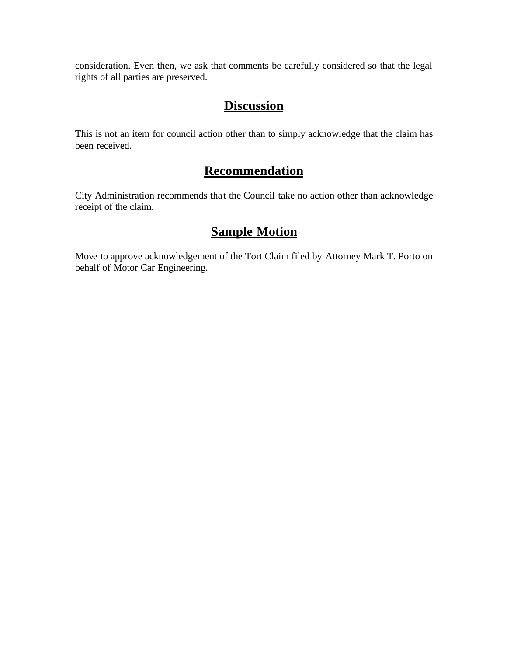consideration. Even then, we ask that comments be carefully considered so that the legal rights of all parties are preserved.

#### **Discussion**

This is not an item for council action other than to simply acknowledge that the claim has been received.

### **Recommendation**

City Administration recommends tha t the Council take no action other than acknowledge receipt of the claim.

#### **Sample Motion**

Move to approve acknowledgement of the Tort Claim filed by Attorney Mark T. Porto on behalf of Motor Car Engineering.